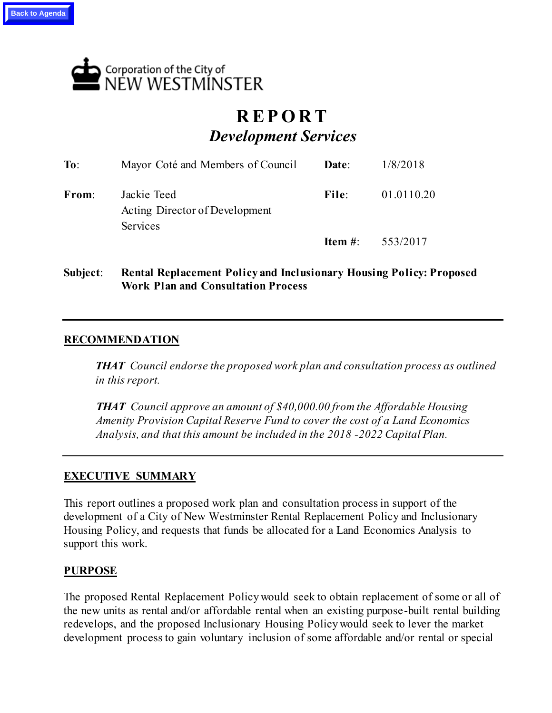

# **R E P O R T** *Development Services*

| To:   | Mayor Coté and Members of Council                         | Date: | 1/8/2018                  |
|-------|-----------------------------------------------------------|-------|---------------------------|
| From: | Jackie Teed<br>Acting Director of Development<br>Services | File: | 01.0110.20                |
|       |                                                           |       | <b>Item #:</b> $553/2017$ |

**Subject**: **Rental Replacement Policy and Inclusionary Housing Policy: Proposed Work Plan and Consultation Process**

# **RECOMMENDATION**

*THAT Council endorse the proposed work plan and consultation process as outlined in this report.*

*THAT Council approve an amount of \$40,000.00 from the Affordable Housing Amenity Provision Capital Reserve Fund to cover the cost of a Land Economics Analysis, and that this amount be included in the 2018 -2022 Capital Plan.* 

# **EXECUTIVE SUMMARY**

This report outlines a proposed work plan and consultation process in support of the development of a City of New Westminster Rental Replacement Policy and Inclusionary Housing Policy, and requests that funds be allocated for a Land Economics Analysis to support this work.

#### **PURPOSE**

The proposed Rental Replacement Policy would seek to obtain replacement of some or all of the new units as rental and/or affordable rental when an existing purpose-built rental building redevelops, and the proposed Inclusionary Housing Policy would seek to lever the market development process to gain voluntary inclusion of some affordable and/or rental or special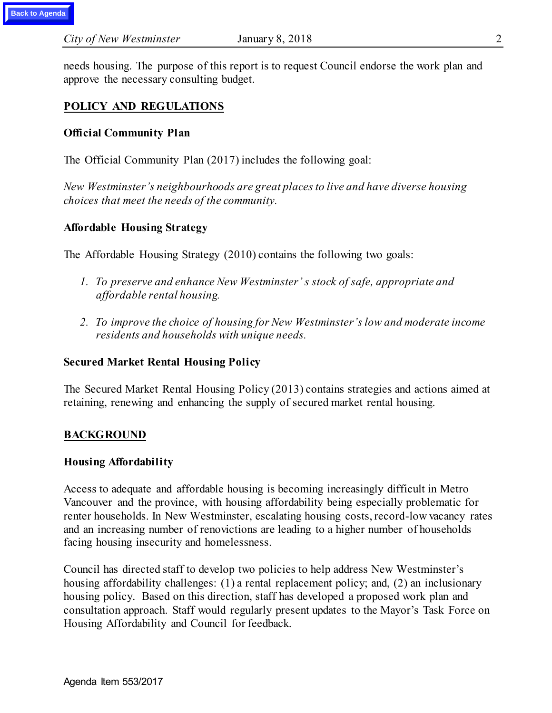needs housing. The purpose of this report is to request Council endorse the work plan and approve the necessary consulting budget.

# **POLICY AND REGULATIONS**

#### **Official Community Plan**

The Official Community Plan (2017) includes the following goal:

*New Westminster's neighbourhoods are great places to live and have diverse housing choices that meet the needs of the community.*

#### **Affordable Housing Strategy**

The Affordable Housing Strategy (2010) contains the following two goals:

- *1. To preserve and enhance New Westminster' s stock of safe, appropriate and affordable rental housing.*
- *2. To improve the choice of housing for New Westminster's low and moderate income residents and households with unique needs.*

#### **Secured Market Rental Housing Policy**

The Secured Market Rental Housing Policy (2013) contains strategies and actions aimed at retaining, renewing and enhancing the supply of secured market rental housing.

# **BACKGROUND**

#### **Housing Affordability**

Access to adequate and affordable housing is becoming increasingly difficult in Metro Vancouver and the province, with housing affordability being especially problematic for renter households. In New Westminster, escalating housing costs, record-low vacancy rates and an increasing number of renovictions are leading to a higher number of households facing housing insecurity and homelessness.

Council has directed staff to develop two policies to help address New Westminster's housing affordability challenges: (1) a rental replacement policy; and, (2) an inclusionary housing policy. Based on this direction, staff has developed a proposed work plan and consultation approach. Staff would regularly present updates to the Mayor's Task Force on Housing Affordability and Council for feedback.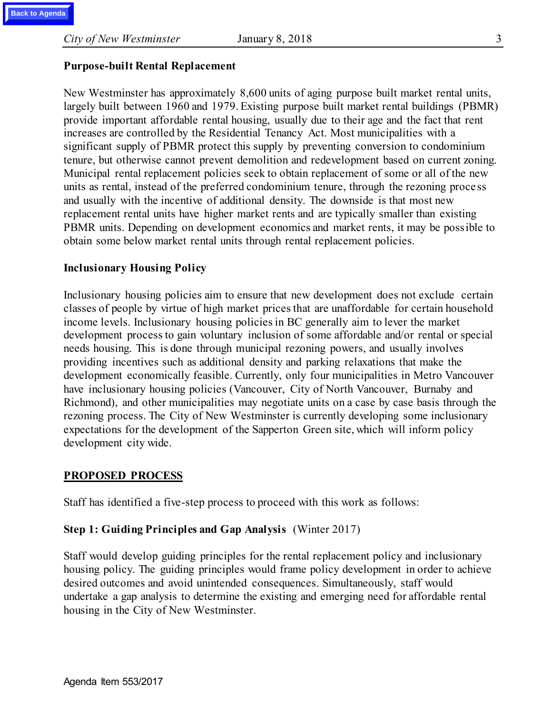#### **Purpose-built Rental Replacement**

New Westminster has approximately 8,600 units of aging purpose built market rental units, largely built between 1960 and 1979. Existing purpose built market rental buildings (PBMR) provide important affordable rental housing, usually due to their age and the fact that rent increases are controlled by the Residential Tenancy Act. Most municipalities with a significant supply of PBMR protect this supply by preventing conversion to condominium tenure, but otherwise cannot prevent demolition and redevelopment based on current zoning. Municipal rental replacement policies seek to obtain replacement of some or all of the new units as rental, instead of the preferred condominium tenure, through the rezoning proce ss and usually with the incentive of additional density. The downside is that most new replacement rental units have higher market rents and are typically smaller than existing PBMR units. Depending on development economics and market rents, it may be possible to obtain some below market rental units through rental replacement policies.

#### **Inclusionary Housing Policy**

Inclusionary housing policies aim to ensure that new development does not exclude certain classes of people by virtue of high market prices that are unaffordable for certain household income levels. Inclusionary housing policies in BC generally aim to lever the market development process to gain voluntary inclusion of some affordable and/or rental or special needs housing. This is done through municipal rezoning powers, and usually involves providing incentives such as additional density and parking relaxations that make the development economically feasible. Currently, only four municipalities in Metro Vancouver have inclusionary housing policies (Vancouver, City of North Vancouver, Burnaby and Richmond), and other municipalities may negotiate units on a case by case basis through the rezoning process. The City of New Westminster is currently developing some inclusionary expectations for the development of the Sapperton Green site, which will inform policy development city wide.

# **PROPOSED PROCESS**

Staff has identified a five-step process to proceed with this work as follows:

# **Step 1: Guiding Principles and Gap Analysis** (Winter 2017)

Staff would develop guiding principles for the rental replacement policy and inclusionary housing policy. The guiding principles would frame policy development in order to achieve desired outcomes and avoid unintended consequences. Simultaneously, staff would undertake a gap analysis to determine the existing and emerging need for affordable rental housing in the City of New Westminster.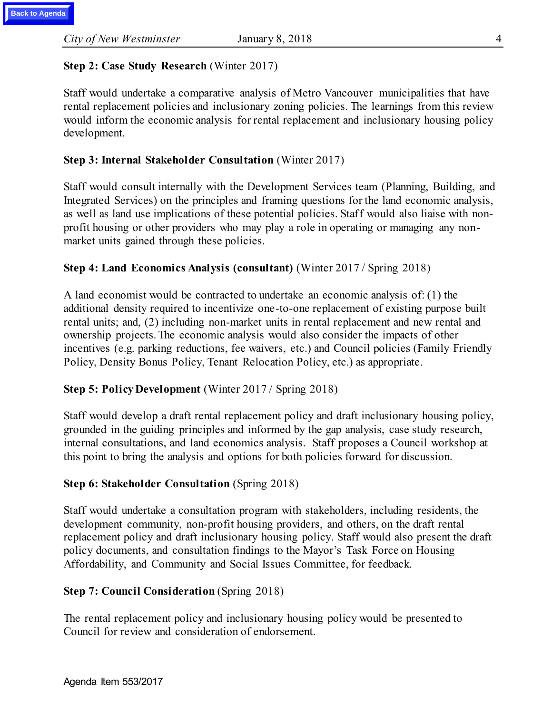# **Step 2: Case Study Research** (Winter 2017)

Staff would undertake a comparative analysis of Metro Vancouver municipalities that have rental replacement policies and inclusionary zoning policies. The learnings from this review would inform the economic analysis for rental replacement and inclusionary housing policy development.

# **Step 3: Internal Stakeholder Consultation** (Winter 2017)

Staff would consult internally with the Development Services team (Planning, Building, and Integrated Services) on the principles and framing questions for the land economic analysis, as well as land use implications of these potential policies. Staff would also liaise with nonprofit housing or other providers who may play a role in operating or managing any nonmarket units gained through these policies.

#### **Step 4: Land Economics Analysis (consultant)** (Winter 2017 / Spring 2018)

A land economist would be contracted to undertake an economic analysis of: (1) the additional density required to incentivize one-to-one replacement of existing purpose built rental units; and, (2) including non-market units in rental replacement and new rental and ownership projects. The economic analysis would also consider the impacts of other incentives (e.g. parking reductions, fee waivers, etc.) and Council policies (Family Friendly Policy, Density Bonus Policy, Tenant Relocation Policy, etc.) as appropriate.

# **Step 5: Policy Development** (Winter 2017 / Spring 2018)

Staff would develop a draft rental replacement policy and draft inclusionary housing policy, grounded in the guiding principles and informed by the gap analysis, case study research, internal consultations, and land economics analysis. Staff proposes a Council workshop at this point to bring the analysis and options for both policies forward for discussion.

#### **Step 6: Stakeholder Consultation** (Spring 2018)

Staff would undertake a consultation program with stakeholders, including residents, the development community, non-profit housing providers, and others, on the draft rental replacement policy and draft inclusionary housing policy. Staff would also present the draft policy documents, and consultation findings to the Mayor's Task Force on Housing Affordability, and Community and Social Issues Committee, for feedback.

# **Step 7: Council Consideration** (Spring 2018)

The rental replacement policy and inclusionary housing policy would be presented to Council for review and consideration of endorsement.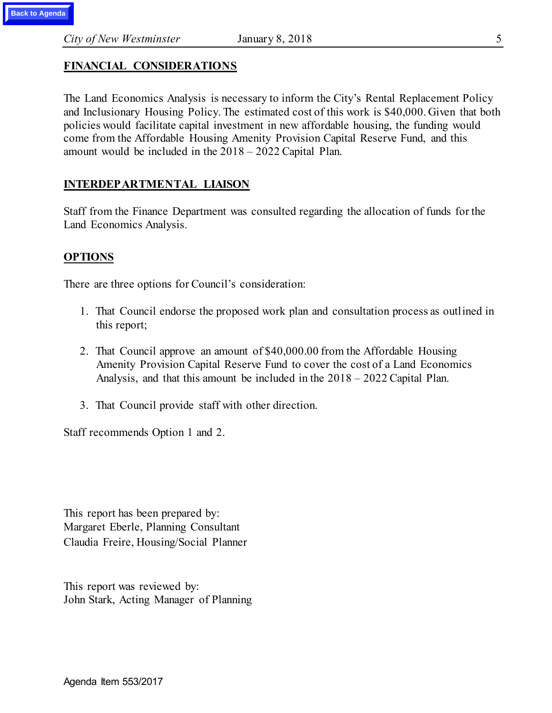# **FINANCIAL CONSIDERATIONS**

The Land Economics Analysis is necessary to inform the City's Rental Replacement Policy and Inclusionary Housing Policy. The estimated cost of this work is \$40,000. Given that both policies would facilitate capital investment in new affordable housing, the funding would come from the Affordable Housing Amenity Provision Capital Reserve Fund, and this amount would be included in the 2018 – 2022 Capital Plan.

#### **INTERDEPARTMENTAL LIAISON**

Staff from the Finance Department was consulted regarding the allocation of funds for the Land Economics Analysis.

#### **OPTIONS**

There are three options for Council's consideration:

- 1. That Council endorse the proposed work plan and consultation process as outlined in this report;
- 2. That Council approve an amount of \$40,000.00 from the Affordable Housing Amenity Provision Capital Reserve Fund to cover the cost of a Land Economics Analysis, and that this amount be included in the 2018 – 2022 Capital Plan.
- 3. That Council provide staff with other direction.

Staff recommends Option 1 and 2.

This report has been prepared by: Margaret Eberle, Planning Consultant Claudia Freire, Housing/Social Planner

This report was reviewed by: John Stark, Acting Manager of Planning